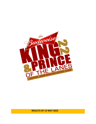

**RESULTS OF 15 MAY 2022**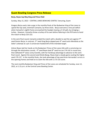## **Guam Bowling Congress Press Release**

#### **Borja, Reyes top May King and Prince field**

Sunday, May 15, 2022 – CENTRAL LANES BOWLING CENTER, Tamuning, Guam

Gregory Borja used a late surge in the monthly finals of the Budweiser King of the Lanes to upend the top seed, Jeremiah Camacho, by three sticks. Borja overcame a nine-pin deficit when Camacho's eighth frame encroached the headpin leaving a 4-10 split, by stringing a turkey. However, Camacho threw a turkey of his own before faltering in the fill frame to hand the match to Borja 225-222.

In the semi-final round, Camacho ended the match with a double to seal the win against  $7<sup>th</sup>$ seed Darien Borja; In contrast,  $2^{nd}$  seed Greg Borja slipped past  $4^{th}$  seed Justin Mendiola as the latter's attempt at a pin 3 conversion hooked left of the intended target.

Arlene Reyes laid her hands on the Budweiser Prince of the Lanes title with a convincing run through the elimination rounds.  $4<sup>th</sup>$  seed Reyes beat  $8<sup>th</sup>$  seed Ina Lee 174-142 in round one, then defeated 9<sup>th</sup> seed, Corey Granillo, with her handicap advantage to advance to the semifinal round. Against the second seed Sheila Bangs, Reyes kept a steady game ousting the higher seed 179-137. In the monthly finals, she took advantage of top seed Aron Hernandez's errors in the opening frames and held on to claim the title with a 173-155 score.

The next monthly Budweiser King and Prince of the Lanes are scheduled for Sunday, June 12, 2022, at 1:15 p.m. at the Central Lanes Bowling Center.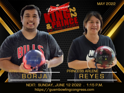

NEXT: SUNDAY, ,JUNE 12 2022 . 1:15 P.M. https://guambowlingcongress.com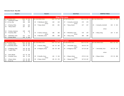#### **Elimination Round - May 2022**

25 3 Kim, Miyuki 137 41 178<br>26 9 Granillo, Corey 169 9 178

25 4 Reyes, Arlene<br>26 8 Lee, Ina

| Round 1                                          |                            | <b>Round 2</b>                    |               | Semi-Final                                        | <b>MONTHLY FINALS</b>                            |  |  |  |  |  |
|--------------------------------------------------|----------------------------|-----------------------------------|---------------|---------------------------------------------------|--------------------------------------------------|--|--|--|--|--|
|                                                  |                            |                                   |               |                                                   |                                                  |  |  |  |  |  |
|                                                  |                            |                                   |               | <b>King of the Lanes</b>                          |                                                  |  |  |  |  |  |
| Lane Seed Athlete's Name                         | Game Hp Total              | Lane Seed Athlete's Name          | Game Hp Total | Lane Seed Athlete's Name<br>Game Hp Total         | Lane Seed Athlete's Name<br>Game Hp Total        |  |  |  |  |  |
| 5 Manibusan, Mark<br>17                          | 177<br>177                 |                                   |               |                                                   |                                                  |  |  |  |  |  |
| 10 Cruz, Ray<br>18                               | 168<br>168                 | 5 Manibusan, Mark<br>23<br>versus | 134<br>134    | 174<br>174<br>27<br>1 Camacho, Jeremiah<br>versus |                                                  |  |  |  |  |  |
| 17<br>6 Duenas, Ricky                            | 164<br>164                 | 24<br>7 Borja, Darien             | 201<br>201    | 157<br>157<br>28<br>7 Borja, Darien               | 222<br>1 Camacho, Jeremiah<br>$0$ 222<br>25      |  |  |  |  |  |
| 18<br>7 Borja, Darien                            | 167<br>167                 |                                   |               |                                                   |                                                  |  |  |  |  |  |
|                                                  |                            |                                   |               |                                                   | versus                                           |  |  |  |  |  |
| 19<br>3 Santos, Cameron                          | 138<br>138                 |                                   |               |                                                   |                                                  |  |  |  |  |  |
| 20<br>9 Sanchez, Mike                            | 0<br>$\Omega$              | 3 Santos, Cameron<br>25<br>versus | 186<br>186    | 170<br>29<br>170<br>4 Mendiola, Justin<br>versus  | 225<br>26<br>2 Borja, Greg<br>225<br>$\mathbf 0$ |  |  |  |  |  |
| 19<br>4 Mendiola, Justin                         | 172<br>172                 | 4 Mendiola, Justin<br>26          | 200<br>200    | 180<br>180<br>30<br>2 Borja, Greg                 |                                                  |  |  |  |  |  |
| 8 Wood, Maria<br>20                              | 156<br>8 164               |                                   |               |                                                   |                                                  |  |  |  |  |  |
|                                                  |                            |                                   |               |                                                   |                                                  |  |  |  |  |  |
|                                                  |                            |                                   |               | <b>Prince of the Lanes</b>                        |                                                  |  |  |  |  |  |
| Lane Seed Athlete's Name                         | Game Hp Total              | Lane Seed Athlete's Name          | Game Hp Total | Lane Seed Athlete's Name<br>Game Hp Total         | Lane Seed Athlete's Name<br>Game Hp Total        |  |  |  |  |  |
| 5 Duenas, Elijah<br>23                           | 163 35 198                 |                                   |               |                                                   |                                                  |  |  |  |  |  |
| 24 10 Brantley, Rowen                            | 108 45 153                 | 27<br>5 Duenas, Elijah<br>versus  | 125<br>35 160 | 1 Hernandez, Aron<br>23<br>156 20 176<br>versus   |                                                  |  |  |  |  |  |
| 6 Palaganas, Rudy<br>23<br>7 Lopez, Philip<br>24 | 136 28 164<br>122  26  148 | 6 Palaganas, Rudy<br>28           | 162 28<br>190 | 137 28 165<br>24<br>6 Palaganas, Rudy             | 155 20 175<br>27<br>1 Hernandez, Aron            |  |  |  |  |  |

*versus versus*

174 35 209 30 4 Reyes, Arlene 135 35 170 26 2 Bangs, Sheila 137 30 167

29 9 Granillo, Corey 145 9 154 25 4 Reyes, Arlene 179 35 214 28 4 Reyes, Arlene 173 35 208

*versus*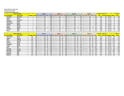## **King and Prince of the Lanes**

## **Sunday, May 15, 2022**

**Central Lanes Bowling Center**

| Contrar cancel botting contor |                   |                |  |      |  |                                                                                                                                                 |  |     |    |  |        |  |     |    |            |    |              |     |        |            |                |              |                |             |              |
|-------------------------------|-------------------|----------------|--|------|--|-------------------------------------------------------------------------------------------------------------------------------------------------|--|-----|----|--|--------|--|-----|----|------------|----|--------------|-----|--------|------------|----------------|--------------|----------------|-------------|--------------|
|                               | Name of Bowler    |                |  |      |  | Game 1                                                                                                                                          |  |     |    |  | Game 2 |  |     |    | Game 3     |    |              |     | Game 4 |            | <b>Scratch</b> | No. of       |                |             | <b>Grand</b> |
| <b>Pos Last Name</b>          | <b>First Name</b> | <b>Average</b> |  |      |  | Hdcp   Lane   Seq   Score   Hcp   Total   Lane   Seq   Score   Hcp   Total   Lane   Seq   Score   Hcp   Seq   Score   Seq   Score   Hcp   Total |  |     |    |  |        |  |     |    |            |    |              |     |        |            | <b>Total</b>   | <b>Games</b> | <b>Average</b> | <b>Hdcp</b> | <b>Total</b> |
| 1 <b>Camacho</b>              | Jeremiah          |                |  |      |  | 190                                                                                                                                             |  | 190 | 30 |  | 222    |  | 222 | 20 | <b>190</b> |    | 190          | Zb. | 197    | 197        | 799            |              | 199.75         |             | 799          |
| 2 Borja                       | Greg              |                |  |      |  | 180                                                                                                                                             |  | 180 | 28 |  | 225    |  | 225 | 18 | 192        |    | 192          | 24. | 190    | 190        | 787            |              | 196.75         |             | 787          |
| 3 Santos                      | <b>Cameron</b>    |                |  | ت کے |  | 153                                                                                                                                             |  | 153 |    |  | 197    |  | 197 | 19 | 184        |    | 184          |     | 169    | 169        | 703            |              | 175.75         |             | 703          |
| 4 Mendiola                    | Justin            |                |  |      |  | 135                                                                                                                                             |  | 135 |    |  | 203    |  | 203 | つに | 146        |    | 146          | 1 Q | 2121   | 212        | 696            |              | 174.00         |             | 696          |
| 5 Manibusan                   | Mark              |                |  |      |  | 156                                                                                                                                             |  | 156 |    |  | 170    |  | 170 | 23 | 159        |    | 159          |     | 198    | 198        | 683            |              | 170.75         |             | 683          |
| 6Duenas                       | <b>Ricky</b>      |                |  |      |  | 156                                                                                                                                             |  | 156 |    |  | 127    |  | 127 |    | 178        |    | 178 <b>1</b> |     | 191    | <b>191</b> | 652            |              | 163.00         |             | 652          |
| 7Borja                        | Darien            |                |  |      |  | 155                                                                                                                                             |  | 155 |    |  | 145    |  | 145 | 28 | 173        |    | 173          | 18  | 167    | 167        | 640            |              | 160.00         |             | 640          |
| 8 Wood                        | Maria             |                |  |      |  | 127                                                                                                                                             |  | 135 | 19 |  | 113    |  | 121 |    | 181        | 81 | 189          |     | 168    | 176        | 589            |              | 147.25         | 32          | 621          |
| 9 Sanchez                     | <b>Mike</b>       |                |  |      |  | 141                                                                                                                                             |  | 141 | 26 |  | 141    |  | 141 | 30 | 153        |    | 153          |     | 151    | 151        | 586            |              | 146.50         |             | 586          |
| 10 Cruz                       | <b>Ray</b>        |                |  | ിറ   |  | 187                                                                                                                                             |  | 187 | 18 |  | 162    |  | 162 | 24 | 115        |    | 115          | 28. | 122    | 122        | 586            |              | 146.50         |             | 586          |

| <b>Name of Bowler</b> |                   |                |             | Game 1        |                                                                                                             |    |      | Game 2 |     |           |     |        | Game 3       |                 |    |              | Game 4 |                          |    | <b>Scratch</b> |              |              |                | Grand       |              |
|-----------------------|-------------------|----------------|-------------|---------------|-------------------------------------------------------------------------------------------------------------|----|------|--------|-----|-----------|-----|--------|--------------|-----------------|----|--------------|--------|--------------------------|----|----------------|--------------|--------------|----------------|-------------|--------------|
| <b>Pos Last Name</b>  | <b>First Name</b> | <b>Average</b> | <b>Hdcp</b> |               | Lane   Seq   Score   Hcp   Total <mark>  Lane   Seq   Score   Hcp   Total  </mark> Lane   Seq   Score   Hcp |    |      |        |     |           |     |        |              |                 |    | <b>Total</b> |        | Lane   Seg   Score   Hcp |    | <b>Total</b>   | <b>Total</b> | <b>Games</b> | <b>Average</b> | <b>Hdcp</b> | <b>Total</b> |
| Hernandez             | Aron              | 163            | 20          |               | 188                                                                                                         | 20 | 208  |        | 188 | <b>20</b> | 208 |        | B            | 201             | 20 | 221          | 19     | 178                      | 20 | 198            | 755          |              | 188.75         | 80I         | 835          |
| 2 Bangs               | <b>Sheila</b>     | 159            | 30          | 28            | 193                                                                                                         | 30 | 223  |        | 195 | 30        | 225 | 24     | B            | 131             | 30 | 161          | 28     | 176                      | 30 | 206            | 695          |              | 173.75         | 120         | 815          |
| 3 Kim                 | <b>Miyuki</b>     | 145            | 41          | 26            | 156                                                                                                         | 41 | 197  |        | 136 | 41        | 177 | 20     | B            | 172             | 41 | 213          | 26     | 143                      | 41 | 184            | 607          |              | 151.7          | 164         | 771          |
| 1 Reyes               | <b>Arlene</b>     | 152            | 35          | $\cap \cap$   | 153                                                                                                         | 35 | 188  |        | 169 | 35        | 204 | 30     | B            | 124             | 35 | 159          | 20     | 181                      | 35 | 216            | 627          |              | 156.75         | <b>140</b>  | 767          |
| b <b>Duenas</b>       | Elijah            | 142            | 35          | 30            | 183 <sub>1</sub>                                                                                            | 35 | 218  |        | 127 | 35        | 162 | 26     | B            | <u> 119</u>     | 35 | 154          | 30     | 171                      | 35 | 206            | 600          |              | 150.00         | 140         | 740          |
| 6 Palaganas           | <b>Rudy</b>       | 151            | 28          | 18            | 118                                                                                                         | 28 | 146' |        | 146 | <b>28</b> | 174 | 28     | B            | 17 <sub>1</sub> | 28 | 205          | 18     | 151                      | 28 | 179            | 592          |              | 148.00         | 112         | 704          |
| ' Lopez               | Philip            | 155            | 26          | 30            | 170                                                                                                         | 26 | 196  |        | 133 | <b>26</b> | 159 | 26     | $\mathsf{A}$ | 14              | 26 | 166          | 30     | 140                      | 26 | 166            | 583          |              | 145.75         | 104         | 687          |
| 8 Lee                 | Ina               | 175            | 19          | 24            | 168                                                                                                         | 19 | 187  | ۷٥     | 132 | 19        | 151 | 18     | B            | 147             | 19 | 166          | 24     | 162                      | 19 | 181            | 609          |              | 152.25         | 76I         | 685          |
| 9 Granillo            | <b>Corey</b>      | 177            |             | 29            | 174                                                                                                         |    | 183  |        | 177 |           | 186 | 19     | B            | 163             |    | 1721         | 29     | 131                      |    | 140            | 645          |              | 161.25         | 36          | 681          |
| 10 Brantley           | Rowen             | 130            | 45          | $\cap$        | 120                                                                                                         |    | 165  |        | 131 |           | 176 | $\cap$ | <sub>R</sub> | 120             |    | 165          | 23     | 88                       | 45 | 133            | 459          |              | 114.75         | 180         | 639          |
| 11 Brantley           | <b>Rian</b>       | 146            | 32          | 23            | 98                                                                                                          | 32 | 130  |        | 120 | 32        | 152 | つフ     |              | -97             | 32 | 129          | 23     | 157                      | 32 | 189            | 472          |              | 118.00         | 128         | 600          |
| 12 Roberto            | Bill              | 168            | 16          |               | 126                                                                                                         |    | 142  |        | 121 | 16        | 137 |        | B            | 144             | 16 | 160          |        | 116                      | 16 | 132            | 507          |              | 126.7          | 64I         | 571          |
| 13 Barrett            | <b>Joe</b>        | 161            |             | $\sim$ $\sim$ | 150                                                                                                         | 21 | 171  |        | 109 | 21        | 130 |        | B            | 97              | 21 | 118          |        | 131                      | 21 | 1521           | 487          |              | 121.7          | 84 I        | 571          |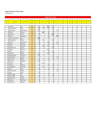#### King and Prince of the Lanes

Leaderboard

|                         |                  |                   |                 |                 |                 |                | King of the Lanes |                 |            |     |     |            |     |            |            |
|-------------------------|------------------|-------------------|-----------------|-----------------|-----------------|----------------|-------------------|-----------------|------------|-----|-----|------------|-----|------------|------------|
|                         |                  |                   |                 |                 |                 |                |                   |                 |            |     |     |            |     |            |            |
| Pos                     | <b>Last Name</b> | <b>First Name</b> | Total<br>Points | Jan             | Feb             | Mar            | Apr               | May             | <b>Jun</b> | Jul | Aug | <b>Sep</b> | Oct | <b>Nov</b> | <b>Dec</b> |
|                         |                  |                   |                 |                 |                 |                |                   |                 |            |     |     |            |     |            |            |
|                         | 1 Santos         | RJ                | 65              | 15              | 5               | 30             | 15                |                 |            |     |     |            |     |            |            |
| $\overline{\mathbf{c}}$ | San Nicolas      | Ray               | 60              | 10              | 20              | 15             | 15                |                 |            |     |     |            |     |            |            |
| 3                       | Camacho          | Jeremiah          | 45              | 20              |                 |                | 5                 | 20              |            |     |     |            |     |            |            |
| 4                       | Elliott          | Aaron             | 40              |                 | $\overline{30}$ | 5              | 5                 |                 |            |     |     |            |     |            |            |
| 5                       | Duenas           | Evan              | 39              | $\overline{2}$  |                 | $\overline{2}$ | 30                | 5               |            |     |     |            |     |            |            |
| 6                       | Borja            | Gregory           | 37              |                 |                 | $\overline{2}$ | 5                 | $\overline{30}$ |            |     |     |            |     |            |            |
| 7                       | Leon Guerrero    | Jay               | 35              | 30              |                 | 5              |                   |                 |            |     |     |            |     |            |            |
|                         | 8 Manibusan      | <b>Brian</b>      | 30              | 5               | 15              |                | 10                |                 |            |     |     |            |     |            |            |
| 9                       | Santos           | Cameron           | 29              | $\overline{2}$  | 5               | 10             | $\overline{2}$    | 10              |            |     |     |            |     |            |            |
|                         | 10 Borja         | Darien            | 27              | 5               |                 | $\overline{2}$ | 5                 | $\overline{15}$ |            |     |     |            |     |            |            |
|                         | 11 Scott         | Darrell           | 27              |                 | 10              | 15             | $\overline{2}$    |                 |            |     |     |            |     |            |            |
| 12                      | Villanueva       | Cesar             | $\overline{22}$ |                 | $\overline{2}$  |                | 20                |                 |            |     |     |            |     |            |            |
|                         | 13 Tagle         | Manny             | 20              |                 |                 | 20             |                   |                 |            |     |     |            |     |            |            |
|                         | 14 Blas          | Juan              | 17              |                 | 5               | $\overline{2}$ | 10                |                 |            |     |     |            |     |            |            |
|                         | 15 Duenas        | Ricky             | 17              | 5               |                 | 10             | $\overline{2}$    |                 |            |     |     |            |     |            |            |
|                         | 16 Manibusan     | Frank Jr          | 17              | 10              | 5               |                | $\overline{2}$    |                 |            |     |     |            |     |            |            |
|                         | 17 Mendiola      | Justin            | 17              |                 |                 |                | $\overline{2}$    | 15              |            |     |     |            |     |            |            |
|                         | 18 Sanchez       | Mike              | 16              | $\overline{2}$  | $\overline{2}$  | 5              | $\overline{2}$    | 5               |            |     |     |            |     |            |            |
|                         | 19 Aquino        | Angelo            | 15              | $\overline{15}$ |                 |                |                   |                 |            |     |     |            |     |            |            |
|                         | 20 Castro        | JD                | 15              |                 | 15              |                |                   |                 |            |     |     |            |     |            |            |
| 21                      | <b>Wood</b>      | Maria             | 14              | $\overline{2}$  |                 | 5              | $\overline{2}$    | 5               |            |     |     |            |     |            |            |
| 22                      | Catbagan         | Charlie           | 12              |                 | 10              |                | $\overline{2}$    |                 |            |     |     |            |     |            |            |
| 23                      | Cruz             | Ray               | 11              | $\overline{2}$  |                 | $\overline{2}$ | $\overline{2}$    | 5               |            |     |     |            |     |            |            |
|                         | 24 Manibusan     | Mark              | 10              |                 |                 |                |                   | 10              |            |     |     |            |     |            |            |
|                         | 25 Day           | Erik              | 5               | 5               |                 |                |                   |                 |            |     |     |            |     |            |            |
|                         | 26 Etheridge     | Ty                | $\overline{4}$  |                 |                 | $\overline{2}$ | $\overline{2}$    |                 |            |     |     |            |     |            |            |
| 27                      | Mercado          | John              | $\overline{4}$  | $\overline{2}$  |                 |                | $\overline{2}$    |                 |            |     |     |            |     |            |            |
|                         | 28 Gutierrez     | Jared             | $\overline{2}$  |                 | $\overline{2}$  |                |                   |                 |            |     |     |            |     |            |            |
|                         | 29 Wong          | Michael           | $\overline{2}$  | $\overline{2}$  |                 |                |                   |                 |            |     |     |            |     |            |            |
|                         | 30 Zamora        | Zayne             | $\overline{2}$  |                 |                 |                | $\overline{2}$    |                 |            |     |     |            |     |            |            |